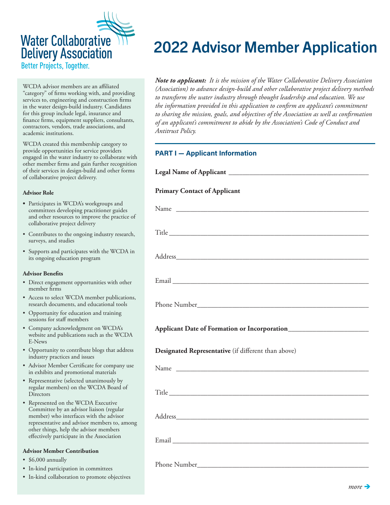# **Water Collaborative Delivery Association**

Better Projects, Together.

WCDA advisor members are an affiliated "category" of firms working with, and providing services to, engineering and construction firms in the water design-build industry. Candidates for this group include legal, insurance and finance firms, equipment suppliers, consultants, contractors, vendors, trade associations, and academic institutions.

WCDA created this membership category to provide opportunities for service providers engaged in the water industry to collaborate with other member firms and gain further recognition of their services in design-build and other forms of collaborative project delivery.

#### **Advisor Role**

- **•** Participates in WCDA's workgroups and committees developing practitioner guides and other resources to improve the practice of collaborative project delivery
- Contributes to the ongoing industry research, surveys, and studies
- Supports and participates with the WCDA in its ongoing education program

#### **Advisor Benefits**

- Direct engagement opportunities with other member firms
- Access to select WCDA member publications, research documents, and educational tools
- Opportunity for education and training sessions for staff members
- Company acknowledgment on WCDA's website and publications such as the WCDA E-News
- Opportunity to contribute blogs that address industry practices and issues
- Advisor Member Certificate for company use in exhibits and promotional materials
- Representative (selected unanimously by regular members) on the WCDA Board of **Directors**
- Represented on the WCDA Executive Committee by an advisor liaison (regular member) who interfaces with the advisor representative and advisor members to, among other things, help the advisor members effectively participate in the Association

#### **Advisor Member Contribution**

- \$6,000 annually
- In-kind participation in committees
- In-kind collaboration to promote objectives

## 2022 Advisor Member Application

*Note to applicant:**It is the mission of the Water Collaborative Delivery Association (Association) to advance design-build and other collaborative project delivery methods to transform the water industry through thought leadership and education. We use the information provided in this application to confirm an applicant's commitment to sharing the mission, goals, and objectives of the Association as well as confirmation of an applicant's commitment to abide by the Association's Code of Conduct and Antitrust Policy.* 

#### **PART I — Applicant Information**

Legal Name of Applicant

#### **Primary Contact of Applicant**

| Designated Representative (if different than above) |  |  |
|-----------------------------------------------------|--|--|
|                                                     |  |  |
|                                                     |  |  |
|                                                     |  |  |
|                                                     |  |  |
|                                                     |  |  |